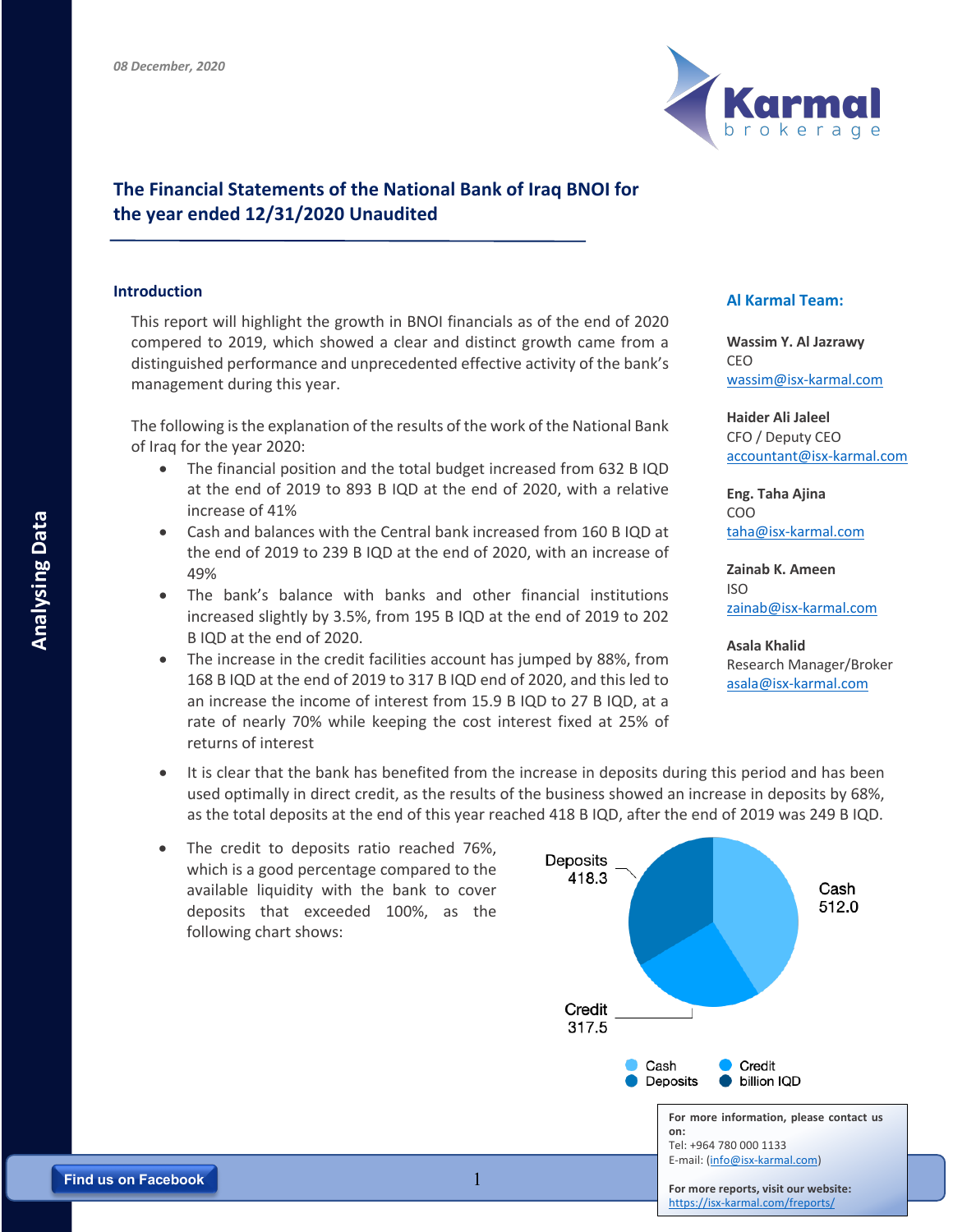

## **The Financial Statements of the National Bank of Iraq BNOI for the year ended 12/31/2020 Unaudited**

This report will highlight the growth in BNOI financials as of the end of 2020 compered to 2019, which showed a clear and distinct growth came from a distinguished performance and unprecedented effective activity of the bank's management during this year.

The following is the explanation of the results of the work of the National Bank of Iraq for the year 2020:

- The financial position and the total budget increased from 632 B IQD at the end of 2019 to 893 B IQD at the end of 2020, with a relative increase of 41%
- Cash and balances with the Central bank increased from 160 B IQD at the end of 2019 to 239 B IQD at the end of 2020, with an increase of 49%
- The bank's balance with banks and other financial institutions increased slightly by 3.5%, from 195 B IQD at the end of 2019 to 202 B IQD at the end of 2020.
- The increase in the credit facilities account has jumped by 88%, from 168 B IQD at the end of 2019 to 317 B IQD end of 2020, and this led to an increase the income of interest from 15.9 B IQD to 27 B IQD, at a rate of nearly 70% while keeping the cost interest fixed at 25% of returns of interest

## **Introduction Al Karmal Team:**

**Wassim Y. Al Jazrawy** CEO wassim@isx-karmal.com

**Haider Ali Jaleel** CFO / Deputy CEO accountant@isx-karmal.com

**Eng. Taha Ajina**  COO taha@isx-karmal.com

**Zainab K. Ameen** ISO zainab@isx-karmal.com

**Asala Khalid** Research Manager/Broker asala@isx-karmal.com

- It is clear that the bank has benefited from the increase in deposits during this period and has been used optimally in direct credit, as the results of the business showed an increase in deposits by 68%, as the total deposits at the end of this year reached 418 B IQD, after the end of 2019 was 249 B IQD.
- The credit to deposits ratio reached 76%, which is a good percentage compared to the available liquidity with the bank to cover deposits that exceeded 100%, as the following chart shows: